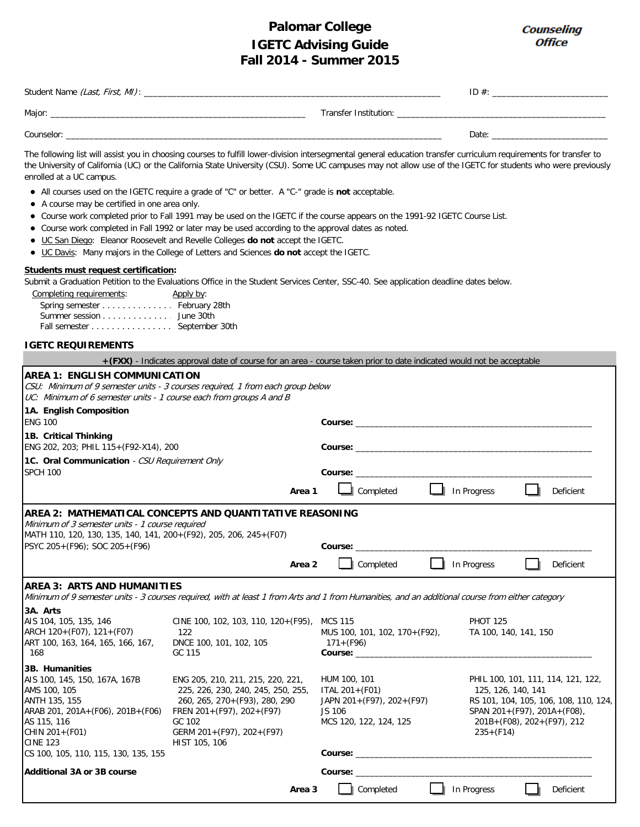## **Palomar College Fall 2014 - Summer 2015 IGETC Advising Guide**

Counseling **Office** 

| Student Name (Last, First, MI): _ |                       | ID $#$ : |
|-----------------------------------|-----------------------|----------|
| Major:                            | Transfer Institution: |          |
| Counselor:                        |                       | Date:    |

The following list will assist you in choosing courses to fulfill lower-division intersegmental general education transfer curriculum requirements for transfer to the University of California (UC) or the California State University (CSU). Some UC campuses may not allow use of the IGETC for students who were previously enrolled at a UC campus.

- All courses used on the IGETC require a grade of "C" or better. A "C-" grade is **not** acceptable.
- A course may be certified in one area only.
- Course work completed prior to Fall 1991 may be used on the IGETC if the course appears on the 1991-92 IGETC Course List.
- Course work completed in Fall 1992 or later may be used according to the approval dates as noted.
- UC San Diego: Eleanor Roosevelt and Revelle Colleges **do not** accept the IGETC.
- UC Davis: Many majors in the College of Letters and Sciences **do not** accept the IGETC.

## **Students must request certification:**

Submit a Graduation Petition to the Evaluations Office in the Student Services Center, SSC-40. See application deadline dates below.

| Completing requirements:      | Apply by: |
|-------------------------------|-----------|
| Spring semester February 28th |           |
| Summer session June 30th      |           |
| Fall semester September 30th  |           |

## **IGETC REQUIREMENTS**

|                                                                                                                                                                                                                     | +(FXX) - Indicates approval date of course for an area - course taken prior to date indicated would not be acceptable                                                                          |                                                                                                                                                                                                                                                                                                                                            |                  |  |                                                                                                                                                                                 |  |           |
|---------------------------------------------------------------------------------------------------------------------------------------------------------------------------------------------------------------------|------------------------------------------------------------------------------------------------------------------------------------------------------------------------------------------------|--------------------------------------------------------------------------------------------------------------------------------------------------------------------------------------------------------------------------------------------------------------------------------------------------------------------------------------------|------------------|--|---------------------------------------------------------------------------------------------------------------------------------------------------------------------------------|--|-----------|
| AREA 1: ENGLISH COMMUNICATION<br>CSU: Minimum of 9 semester units - 3 courses required, 1 from each group below<br>UC: Minimum of 6 semester units - 1 course each from groups A and B                              |                                                                                                                                                                                                |                                                                                                                                                                                                                                                                                                                                            |                  |  |                                                                                                                                                                                 |  |           |
| 1A. English Composition<br><b>ENG 100</b>                                                                                                                                                                           |                                                                                                                                                                                                |                                                                                                                                                                                                                                                                                                                                            |                  |  |                                                                                                                                                                                 |  |           |
| 1B. Critical Thinking<br>ENG 202, 203; PHIL 115+(F92-X14), 200                                                                                                                                                      |                                                                                                                                                                                                |                                                                                                                                                                                                                                                                                                                                            |                  |  |                                                                                                                                                                                 |  |           |
| 1C. Oral Communication - CSU Requirement Only<br><b>SPCH 100</b>                                                                                                                                                    |                                                                                                                                                                                                |                                                                                                                                                                                                                                                                                                                                            |                  |  |                                                                                                                                                                                 |  |           |
|                                                                                                                                                                                                                     | Area 1                                                                                                                                                                                         |                                                                                                                                                                                                                                                                                                                                            | $\Box$ Completed |  | $\Box$ In Progress                                                                                                                                                              |  | Deficient |
| AREA 2: MATHEMATICAL CONCEPTS AND QUANTITATIVE REASONING<br>Minimum of 3 semester units - 1 course required<br>MATH 110, 120, 130, 135, 140, 141, 200+ (F92), 205, 206, 245+ (F07)<br>PSYC 205+(F96); SOC 205+(F96) | Area 2                                                                                                                                                                                         | Course:                                                                                                                                                                                                                                                                                                                                    | Completed        |  | In Progress                                                                                                                                                                     |  | Deficient |
| <b>AREA 3: ARTS AND HUMANITIES</b><br>Minimum of 9 semester units - 3 courses required, with at least 1 from Arts and 1 from Humanities, and an additional course from either category                              |                                                                                                                                                                                                |                                                                                                                                                                                                                                                                                                                                            |                  |  |                                                                                                                                                                                 |  |           |
| 3A. Arts<br>AIS 104, 105, 135, 146<br>ARCH 120+(F07), 121+(F07)<br>ART 100, 163, 164, 165, 166, 167,<br>-168                                                                                                        | CINE 100, 102, 103, 110, 120+ (F95), MCS 115<br>122<br>DNCE 100, 101, 102, 105<br>GC 115                                                                                                       | <b>PHOT 125</b><br>MUS 100, 101, 102, 170+ (F92),<br>TA 100, 140, 141, 150<br>$171 + (F96)$                                                                                                                                                                                                                                                |                  |  |                                                                                                                                                                                 |  |           |
| 3B. Humanities<br>AIS 100, 145, 150, 167A, 167B<br>AMS 100, 105<br>ANTH 135, 155<br>ARAB 201, 201A+(F06), 201B+(F06)<br>AS 115, 116<br>CHIN 201+(F01)<br><b>CINE 123</b><br>CS 100, 105, 110, 115, 130, 135, 155    | ENG 205, 210, 211, 215, 220, 221,<br>225, 226, 230, 240, 245, 250, 255,<br>260, 265, 270+ (F93), 280, 290<br>FREN 201+(F97), 202+(F97)<br>GC 102<br>GERM 201+(F97), 202+(F97)<br>HIST 105, 106 | HUM 100, 101<br>ITAL $201 + (F01)$<br>JAPN 201+(F97), 202+(F97)<br>JS 106<br>MCS 120, 122, 124, 125<br><b>Course:</b> the course of the course of the course of the course of the course of the course of the course of the course of the course of the course of the course of the course of the course of the course of the course of th |                  |  | PHIL 100, 101, 111, 114, 121, 122,<br>125, 126, 140, 141<br>RS 101, 104, 105, 106, 108, 110, 124,<br>SPAN 201+(F97), 201A+(F08),<br>201B+(F08), 202+(F97), 212<br>$235 + (F14)$ |  |           |
| <b>Additional 3A or 3B course</b>                                                                                                                                                                                   |                                                                                                                                                                                                | <b>Course:</b>                                                                                                                                                                                                                                                                                                                             |                  |  |                                                                                                                                                                                 |  |           |
|                                                                                                                                                                                                                     | Area 3                                                                                                                                                                                         |                                                                                                                                                                                                                                                                                                                                            | Completed        |  | In Progress                                                                                                                                                                     |  | Deficient |